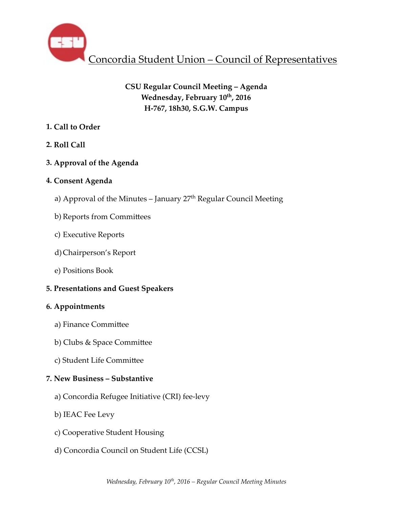

# **CSU Regular Council Meeting – Agenda** Wednesday, February  $10^{th}$ , 2016 **H-767, 18h30, S.G.W. Campus**

# **1. Call to Order**

**2. Roll Call** 

# **3. Approval of the Agenda**

# **4. Consent Agenda**

- a) Approval of the Minutes  $-$  January  $27<sup>th</sup>$  Regular Council Meeting
- b) Reports from Committees
- c) Executive Reports
- d)Chairperson's Report
- e) Positions Book

# **5. Presentations and Guest Speakers**

# **6. Appointments**

- a) Finance Committee
- b) Clubs & Space Committee
- c) Student Life Committee

# **7. New Business – Substantive**

- a) Concordia Refugee Initiative (CRI) fee-levy
- b) IEAC Fee Levy
- c) Cooperative Student Housing
- d) Concordia Council on Student Life (CCSL)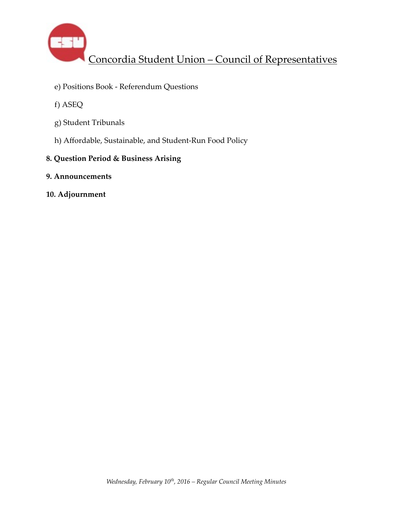

- e) Positions Book Referendum Questions
- f) ASEQ
- g) Student Tribunals
- h) Affordable, Sustainable, and Student-Run Food Policy
- **8. Question Period & Business Arising**
- **9. Announcements**
- **10. Adjournment**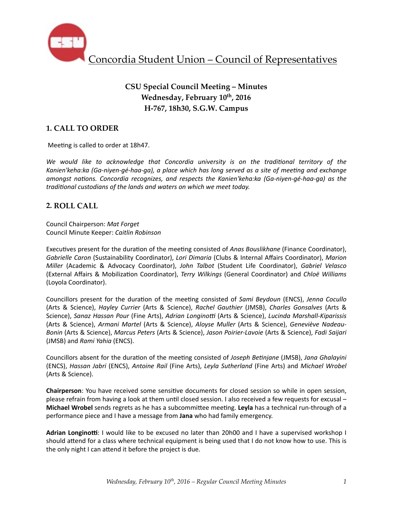

# **CSU Special Council Meeting – Minutes Wednesday, February 10th, 2016 H-767, 18h30, S.G.W. Campus**

# **1. CALL TO ORDER**

Meeting is called to order at 18h47.

We would like to acknowledge that Concordia university is on the traditional territory of the Kanien'keha:ka (Ga-niyen-gé-haa-ga), a place which has long served as a site of meeting and exchange *amongst nations. Concordia recognizes, and respects the Kanien'keha:ka (Ga-niyen-gé-haa-ga)* as the *traditional custodians of the lands and waters on which we meet today.* 

## **2. ROLL CALL**

Council Chairperson: *Mat Forget* Council Minute Keeper: *Caitlin Robinson*

Executives present for the duration of the meeting consisted of *Anas Bouslikhane* (Finance Coordinator), *Gabrielle Caron* (Sustainability Coordinator), *Lori Dimaria* (Clubs & Internal Affairs Coordinator), Marion *Miller* (Academic & Advocacy Coordinator), *John Talbot* (Student Life Coordinator), *Gabriel Velasco* (External Affairs & Mobiliza%on Coordinator), *Terry Wilkings* (General Coordinator) and *Chloë Williams* (Loyola Coordinator). 

Councillors present for the duration of the meeting consisted of *Sami Beydoun* (ENCS), *Jenna Cocullo* (Arts & Science), *Hayley Currier* (Arts & Science), *Rachel Gauthier* (JMSB), *Charles Gonsalves*  (Arts & Science), Sanaz Hassan Pour (Fine Arts), Adrian Longinotti (Arts & Science), Lucinda Marshall-Kiparissis (Arts & Science), Armani Martel (Arts & Science), Aloyse Muller (Arts & Science), Geneviève Nadeau-*Bonin* (Arts & Science), *Marcus Peters* (Arts & Science), *Jason Poirier-Lavoie* (Arts & Science), *Fadi Saijari*  (JMSB) and *Rami Yahia* (ENCS).

Councillors absent for the duration of the meeting consisted of *Joseph Betiniane* (JMSB), *Jana Ghalayini* (ENCS), *Hassan Jabri* (ENCS), *Antoine Rail* (Fine Arts), *Leyla Sutherland* (Fine Arts) and *Michael Wrobel*  (Arts & Science).

**Chairperson**: You have received some sensitive documents for closed session so while in open session, please refrain from having a look at them until closed session. I also received a few requests for excusal – **Michael Wrobel** sends regrets as he has a subcommittee meeting. Leyla has a technical run-through of a performance piece and I have a message from Jana who had family emergency.

**Adrian Longinotti:** I would like to be excused no later than 20h00 and I have a supervised workshop I should attend for a class where technical equipment is being used that I do not know how to use. This is the only night I can attend it before the project is due.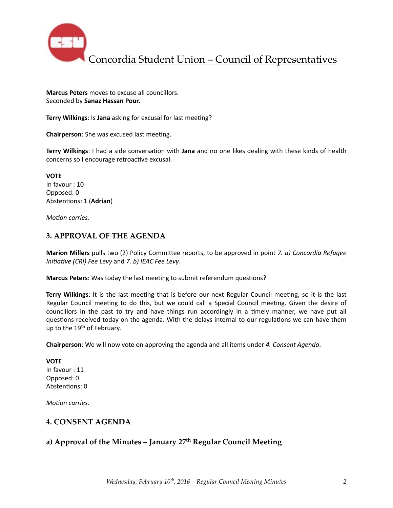

**Marcus Peters** moves to excuse all councillors. Seconded by **Sanaz Hassan Pour.**

**Terry Wilkings:** Is Jana asking for excusal for last meeting?

**Chairperson:** She was excused last meeting.

**Terry Wilkings**: I had a side conversation with Jana and no one likes dealing with these kinds of health concerns so I encourage retroactive excusal.

**VOTE** In favour : 10 Opposed: 0 Abstentions: 1 (Adrian)

*Motion carries.* 

### **3. APPROVAL OF THE AGENDA**

**Marion Millers** pulls two (2) Policy Committee reports, to be approved in point *7. a) Concordia Refugee Initiative (CRI)* Fee Levy and 7. b) IEAC Fee Levy.

**Marcus Peters**: Was today the last meeting to submit referendum questions?

**Terry Wilkings**: It is the last meeting that is before our next Regular Council meeting, so it is the last Regular Council meeting to do this, but we could call a Special Council meeting. Given the desire of councillors in the past to try and have things run accordingly in a timely manner, we have put all questions received today on the agenda. With the delays internal to our regulations we can have them up to the 19<sup>th</sup> of February.

**Chairperson**: We will now vote on approving the agenda and all items under 4. Consent Agenda.

### **VOTE**

In favour : 11 Opposed: 0 Abstentions: 0

*Motion carries.* 

### **4. CONSENT AGENDA**

# **a) Approval of the Minutes – January 27th Regular Council Meeting**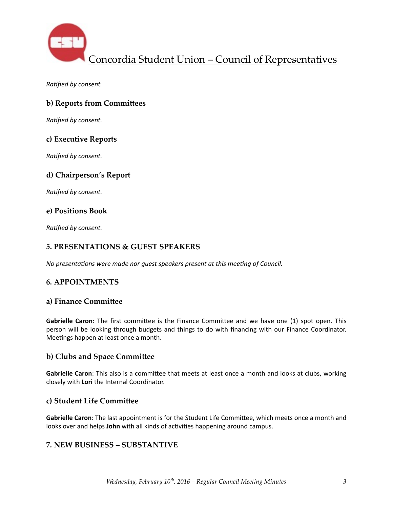

**Ratified by consent.** 

## **b) Reports from Committees**

*Ratified by consent.* 

## **c) Executive Reports**

**Ratified by consent.** 

## **d) Chairperson's Report**

**Ratified by consent.** 

### **e) Positions Book**

*Ratified by consent.* 

## **5. PRESENTATIONS & GUEST SPEAKERS**

*No presentations were made nor quest speakers present at this meeting of Council.* 

## **6. APPOINTMENTS**

### **a) Finance Committee**

**Gabrielle Caron**: The first committee is the Finance Committee and we have one (1) spot open. This person will be looking through budgets and things to do with financing with our Finance Coordinator. Meetings happen at least once a month.

### **b) Clubs and Space Committee**

**Gabrielle Caron**: This also is a committee that meets at least once a month and looks at clubs, working closely with Lori the Internal Coordinator.

### **c) Student Life Committee**

**Gabrielle Caron**: The last appointment is for the Student Life Committee, which meets once a month and looks over and helps John with all kinds of activities happening around campus.

### **7. NEW BUSINESS – SUBSTANTIVE**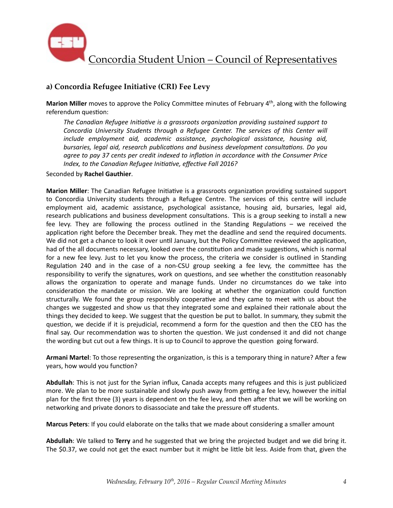

# **a) Concordia Refugee Initiative (CRI) Fee Levy**

**Marion Miller** moves to approve the Policy Committee minutes of February 4<sup>th</sup>, along with the following referendum question:

The Canadian Refugee Initiative is a grassroots organization providing sustained support to Concordia University Students through a Refugee Center. The services of this Center will *include* employment aid, academic assistance, psychological assistance, housing aid, *bursaries, legal aid, research publications and business development consultations. Do you agree to pay 37 cents per credit indexed to inflation in accordance with the Consumer Price Index, to the Canadian Refugee Initiative, effective Fall 2016?* 

Seconded by **Rachel Gauthier**. 

**Marion Miller**: The Canadian Refugee Initiative is a grassroots organization providing sustained support to Concordia University students through a Refugee Centre. The services of this centre will include employment aid, academic assistance, psychological assistance, housing aid, bursaries, legal aid, research publications and business development consultations. This is a group seeking to install a new fee levy. They are following the process outlined in the Standing Regulations  $-$  we received the application right before the December break. They met the deadline and send the required documents. We did not get a chance to look it over until January, but the Policy Committee reviewed the application, had of the all documents necessary, looked over the constitution and made suggestions, which is normal for a new fee levy. Just to let you know the process, the criteria we consider is outlined in Standing Regulation 240 and in the case of a non-CSU group seeking a fee levy, the committee has the responsibility to verify the signatures, work on questions, and see whether the constitution reasonably allows the organization to operate and manage funds. Under no circumstances do we take into consideration the mandate or mission. We are looking at whether the organization could function structurally. We found the group responsibly cooperative and they came to meet with us about the changes we suggested and show us that they integrated some and explained their rationale about the things they decided to keep. We suggest that the question be put to ballot. In summary, they submit the question, we decide if it is prejudicial, recommend a form for the question and then the CEO has the final say. Our recommendation was to shorten the question. We just condensed it and did not change the wording but cut out a few things. It is up to Council to approve the question going forward.

Armani Martel: To those representing the organization, is this is a temporary thing in nature? After a few years, how would you function?

**Abdullah**: This is not just for the Syrian influx, Canada accepts many refugees and this is just publicized more. We plan to be more sustainable and slowly push away from getting a fee levy, however the initial plan for the first three (3) years is dependent on the fee levy, and then after that we will be working on networking and private donors to disassociate and take the pressure off students.

**Marcus Peters**: If you could elaborate on the talks that we made about considering a smaller amount

Abdullah: We talked to Terry and he suggested that we bring the projected budget and we did bring it. The \$0.37, we could not get the exact number but it might be little bit less. Aside from that, given the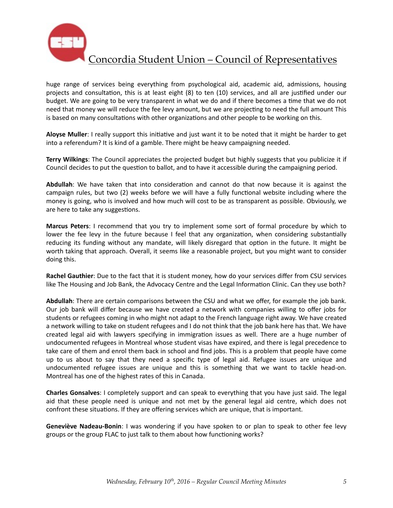

huge range of services being everything from psychological aid, academic aid, admissions, housing projects and consultation, this is at least eight (8) to ten (10) services, and all are justified under our budget. We are going to be very transparent in what we do and if there becomes a time that we do not need that money we will reduce the fee levy amount, but we are projecting to need the full amount This is based on many consultations with other organizations and other people to be working on this.

Aloyse Muller: I really support this initiative and just want it to be noted that it might be harder to get into a referendum? It is kind of a gamble. There might be heavy campaigning needed.

**Terry Wilkings**: The Council appreciates the projected budget but highly suggests that you publicize it if Council decides to put the question to ballot, and to have it accessible during the campaigning period.

**Abdullah**: We have taken that into consideration and cannot do that now because it is against the campaign rules, but two (2) weeks before we will have a fully functional website including where the money is going, who is involved and how much will cost to be as transparent as possible. Obviously, we are here to take any suggestions.

**Marcus Peters**: I recommend that you try to implement some sort of formal procedure by which to lower the fee levy in the future because I feel that any organization, when considering substantially reducing its funding without any mandate, will likely disregard that option in the future. It might be worth taking that approach. Overall, it seems like a reasonable project, but you might want to consider doing this.

**Rachel Gauthier**: Due to the fact that it is student money, how do your services differ from CSU services like The Housing and Job Bank, the Advocacy Centre and the Legal Information Clinic. Can they use both?

Abdullah: There are certain comparisons between the CSU and what we offer, for example the job bank. Our job bank will differ because we have created a network with companies willing to offer jobs for students or refugees coming in who might not adapt to the French language right away. We have created a network willing to take on student refugees and I do not think that the job bank here has that. We have created legal aid with lawyers specifying in immigration issues as well. There are a huge number of undocumented refugees in Montreal whose student visas have expired, and there is legal precedence to take care of them and enrol them back in school and find jobs. This is a problem that people have come up to us about to say that they need a specific type of legal aid. Refugee issues are unique and undocumented refugee issues are unique and this is something that we want to tackle head-on. Montreal has one of the highest rates of this in Canada.

**Charles Gonsalves**: I completely support and can speak to everything that you have just said. The legal aid that these people need is unique and not met by the general legal aid centre, which does not confront these situations. If they are offering services which are unique, that is important.

**Geneviève Nadeau-Bonin**: I was wondering if you have spoken to or plan to speak to other fee levy groups or the group FLAC to just talk to them about how functioning works?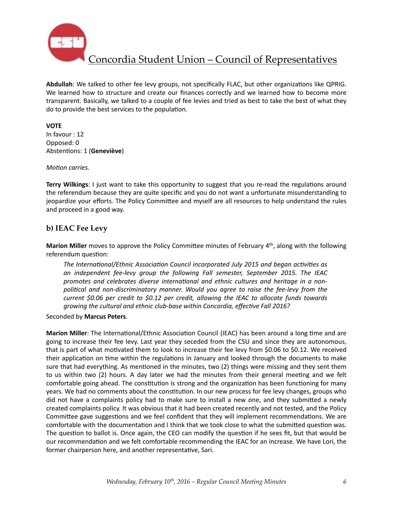

Abdullah: We talked to other fee levy groups, not specifically FLAC, but other organizations like QPRIG. We learned how to structure and create our finances correctly and we learned how to become more transparent. Basically, we talked to a couple of fee levies and tried as best to take the best of what they do to provide the best services to the population.

### **VOTE**

In favour : 12 Opposed: 0 Abstentions: 1 (Geneviève)

#### *Motion carries.*

**Terry Wilkings**: I just want to take this opportunity to suggest that you re-read the regulations around the referendum because they are quite specific and you do not want a unfortunate misunderstanding to jeopardize your efforts. The Policy Committee and myself are all resources to help understand the rules and proceed in a good way.

### **b) IEAC Fee Levy**

**Marion Miller** moves to approve the Policy Committee minutes of February 4<sup>th</sup>, along with the following referendum question:

The International/Ethnic Association Council incorporated July 2015 and began activities as an independent fee-levy group the following Fall semester, September 2015. The IEAC promotes and celebrates diverse international and ethnic cultures and heritage in a nonpolitical and non-discriminatory manner. Would you agree to raise the fee-levy from the *current* \$0.06 per credit to \$0.12 per credit, allowing the IEAC to allocate funds towards growing the cultural and ethnic club-base within Concordia, effective Fall 2016?

Seconded by **Marcus Peters**. 

**Marion Miller**: The International/Ethnic Association Council (IEAC) has been around a long time and are going to increase their fee levy. Last year they seceded from the CSU and since they are autonomous, that is part of what motivated them to look to increase their fee levy from \$0.06 to \$0.12. We received their application on time within the regulations in January and looked through the documents to make sure that had everything. As mentioned in the minutes, two (2) things were missing and they sent them to us within two (2) hours. A day later we had the minutes from their general meeting and we felt comfortable going ahead. The constitution is strong and the organization has been functioning for many years. We had no comments about the constitution. In our new process for fee levy changes, groups who did not have a complaints policy had to make sure to install a new one, and they submitted a newly created complaints policy. It was obvious that it had been created recently and not tested, and the Policy Committee gave suggestions and we feel confident that they will implement recommendations. We are comfortable with the documentation and I think that we took close to what the submitted question was. The question to ballot is. Once again, the CEO can modify the question if he sees fit, but that would be our recommendation and we felt comfortable recommending the IEAC for an increase. We have Lori, the former chairperson here, and another representative, Sari.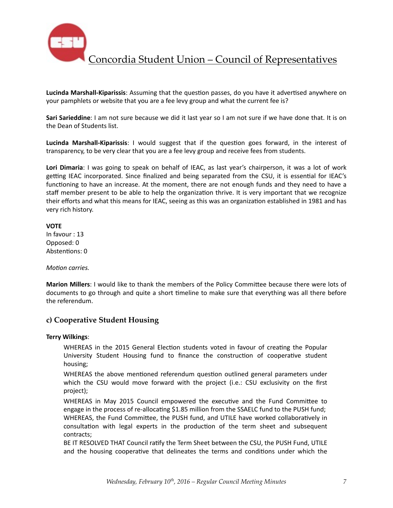

**Lucinda Marshall-Kiparissis**: Assuming that the question passes, do you have it advertised anywhere on your pamphlets or website that you are a fee levy group and what the current fee is?

**Sari Sarieddine**: I am not sure because we did it last year so I am not sure if we have done that. It is on the Dean of Students list.

**Lucinda Marshall-Kiparissis**: I would suggest that if the question goes forward, in the interest of transparency, to be very clear that you are a fee levy group and receive fees from students.

**Lori Dimaria**: I was going to speak on behalf of IEAC, as last year's chairperson, it was a lot of work getting IEAC incorporated. Since finalized and being separated from the CSU, it is essential for IEAC's functioning to have an increase. At the moment, there are not enough funds and they need to have a staff member present to be able to help the organization thrive. It is very important that we recognize their efforts and what this means for IEAC, seeing as this was an organization established in 1981 and has very rich history.

#### **VOTE**

In favour  $: 13$ Opposed: 0 Abstentions: 0

*Motion carries.* 

**Marion Millers:** I would like to thank the members of the Policy Committee because there were lots of documents to go through and quite a short timeline to make sure that everything was all there before the referendum.

## **c) Cooperative Student Housing**

#### **Terry Wilkings**:

WHEREAS in the 2015 General Election students voted in favour of creating the Popular University Student Housing fund to finance the construction of cooperative student housing; 

WHEREAS the above mentioned referendum question outlined general parameters under which the CSU would move forward with the project (i.e.: CSU exclusivity on the first project); 

WHEREAS in May 2015 Council empowered the executive and the Fund Committee to engage in the process of re-allocating \$1.85 million from the SSAELC fund to the PUSH fund; WHEREAS, the Fund Committee, the PUSH fund, and UTILE have worked collaboratively in consultation with legal experts in the production of the term sheet and subsequent contracts;

BE IT RESOLVED THAT Council ratify the Term Sheet between the CSU, the PUSH Fund, UTILE and the housing cooperative that delineates the terms and conditions under which the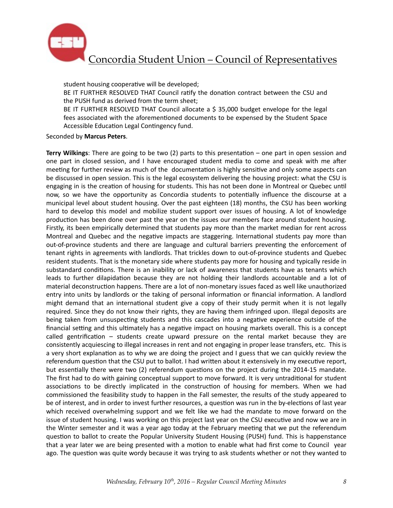

student housing cooperative will be developed; BE IT FURTHER RESOLVED THAT Council ratify the donation contract between the CSU and the PUSH fund as derived from the term sheet; BE IT FURTHER RESOLVED THAT Council allocate a \$ 35,000 budget envelope for the legal fees associated with the aforementioned documents to be expensed by the Student Space Accessible Education Legal Contingency fund.

Seconded by **Marcus Peters**. 

**Terry Wilkings**: There are going to be two  $(2)$  parts to this presentation – one part in open session and one part in closed session, and I have encouraged student media to come and speak with me after meeting for further review as much of the documentation is highly sensitive and only some aspects can be discussed in open session. This is the legal ecosystem delivering the housing project: what the CSU is engaging in is the creation of housing for students. This has not been done in Montreal or Quebec until now, so we have the opportunity as Concordia students to potentially influence the discourse at a municipal level about student housing. Over the past eighteen (18) months, the CSU has been working hard to develop this model and mobilize student support over issues of housing. A lot of knowledge production has been done over past the year on the issues our members face around student housing. Firstly, its been empirically determined that students pay more than the market median for rent across Montreal and Quebec and the negative impacts are staggering. International students pay more than out-of-province students and there are language and cultural barriers preventing the enforcement of tenant rights in agreements with landlords. That trickles down to out-of-province students and Quebec resident students. That is the monetary side where students pay more for housing and typically reside in substandard conditions. There is an inability or lack of awareness that students have as tenants which leads to further dilapidation because they are not holding their landlords accountable and a lot of material deconstruction happens. There are a lot of non-monetary issues faced as well like unauthorized entry into units by landlords or the taking of personal information or financial information. A landlord might demand that an international student give a copy of their study permit when it is not legally required. Since they do not know their rights, they are having them infringed upon. Illegal deposits are being taken from unsuspecting students and this cascades into a negative experience outside of the financial setting and this ultimately has a negative impact on housing markets overall. This is a concept called gentrification  $-$  students create upward pressure on the rental market because they are consistently acquiescing to illegal increases in rent and not engaging in proper lease transfers, etc. This is a very short explanation as to why we are doing the project and I guess that we can quickly review the referendum question that the CSU put to ballot. I had written about it extensively in my executive report, but essentially there were two (2) referendum questions on the project during the 2014-15 mandate. The first had to do with gaining conceptual support to move forward. It is very untraditional for student associations to be directly implicated in the construction of housing for members. When we had commissioned the feasibility study to happen in the Fall semester, the results of the study appeared to be of interest, and in order to invest further resources, a question was run in the by-elections of last year which received overwhelming support and we felt like we had the mandate to move forward on the issue of student housing. I was working on this project last year on the CSU executive and now we are in the Winter semester and it was a year ago today at the February meeting that we put the referendum question to ballot to create the Popular University Student Housing (PUSH) fund. This is happenstance that a year later we are being presented with a motion to enable what had first come to Council year ago. The question was quite wordy because it was trying to ask students whether or not they wanted to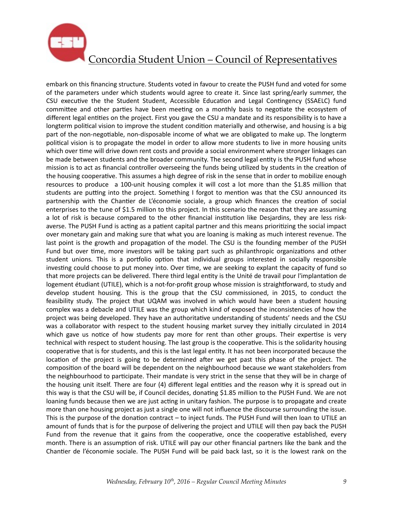

embark on this financing structure. Students voted in favour to create the PUSH fund and voted for some of the parameters under which students would agree to create it. Since last spring/early summer, the CSU executive the the Student Student, Accessible Education and Legal Contingency (SSAELC) fund committee and other parties have been meeting on a monthly basis to negotiate the ecosystem of different legal entities on the project. First you gave the CSU a mandate and its responsibility is to have a longterm political vision to improve the student condition materially and otherwise, and housing is a big part of the non-negotiable, non-disposable income of what we are obligated to make up. The longterm political vision is to propagate the model in order to allow more students to live in more housing units which over time will drive down rent costs and provide a social environment where stronger linkages can be made between students and the broader community. The second legal entity is the PUSH fund whose mission is to act as financial controller overseeing the funds being utilized by students in the creation of the housing cooperative. This assumes a high degree of risk in the sense that in order to mobilize enough resources to produce a 100-unit housing complex it will cost a lot more than the \$1.85 million that students are putting into the project. Something I forgot to mention was that the CSU announced its partnership with the Chantier de L'économie sociale, a group which finances the creation of social enterprises to the tune of \$1.5 million to this project. In this scenario the reason that they are assuming a lot of risk is because compared to the other financial institution like Desjardins, they are less riskaverse. The PUSH Fund is acting as a patient capital partner and this means prioritizing the social impact over monetary gain and making sure that what you are loaning is making as much interest revenue. The last point is the growth and propagation of the model. The CSU is the founding member of the PUSH Fund but over time, more investors will be taking part such as philanthropic organizations and other student unions. This is a portfolio option that individual groups interested in socially responsible investing could choose to put money into. Over time, we are seeking to explant the capacity of fund so that more projects can be delivered. There third legal entity is the Unité de travail pour l'implantation de logement étudiant (UTILE), which is a not-for-profit group whose mission is straightforward, to study and develop student housing. This is the group that the CSU commissioned, in 2015, to conduct the feasibility study. The project that UQAM was involved in which would have been a student housing complex was a debacle and UTILE was the group which kind of exposed the inconsistencies of how the project was being developed. They have an authoritative understanding of students' needs and the CSU was a collaborator with respect to the student housing market survey they initially circulated in 2014 which gave us notice of how students pay more for rent than other groups. Their expertise is very technical with respect to student housing. The last group is the cooperative. This is the solidarity housing cooperative that is for students, and this is the last legal entity. It has not been incorporated because the location of the project is going to be determined after we get past this phase of the project. The composition of the board will be dependent on the neighbourhood because we want stakeholders from the neighbourhood to participate. Their mandate is very strict in the sense that they will be in charge of the housing unit itself. There are four (4) different legal entities and the reason why it is spread out in this way is that the CSU will be, if Council decides, donating \$1.85 million to the PUSH Fund. We are not loaning funds because then we are just acting in unitary fashion. The purpose is to propagate and create more than one housing project as just a single one will not influence the discourse surrounding the issue. This is the purpose of the donation contract  $-$  to inject funds. The PUSH Fund will then loan to UTILE an amount of funds that is for the purpose of delivering the project and UTILE will then pay back the PUSH Fund from the revenue that it gains from the cooperative, once the cooperative established, every month. There is an assumption of risk. UTILE will pay our other financial partners like the bank and the Chantier de l'économie sociale. The PUSH Fund will be paid back last, so it is the lowest rank on the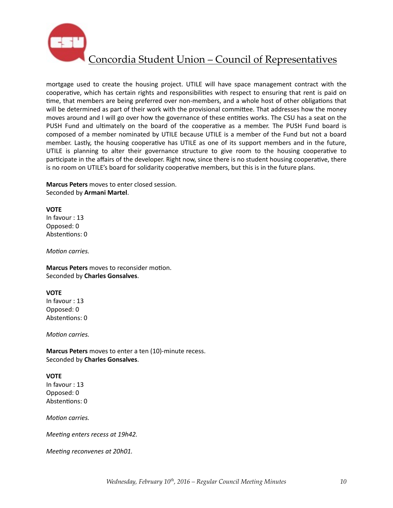

mortgage used to create the housing project. UTILE will have space management contract with the cooperative, which has certain rights and responsibilities with respect to ensuring that rent is paid on time, that members are being preferred over non-members, and a whole host of other obligations that will be determined as part of their work with the provisional committee. That addresses how the money moves around and I will go over how the governance of these entities works. The CSU has a seat on the PUSH Fund and ultimately on the board of the cooperative as a member. The PUSH Fund board is composed of a member nominated by UTILE because UTILE is a member of the Fund but not a board member. Lastly, the housing cooperative has UTILE as one of its support members and in the future, UTILE is planning to alter their governance structure to give room to the housing cooperative to participate in the affairs of the developer. Right now, since there is no student housing cooperative, there is no room on UTILE's board for solidarity cooperative members, but this is in the future plans.

**Marcus Peters** moves to enter closed session. Seconded by Armani Martel.

#### **VOTE**

In favour : 13 Opposed: 0 Abstentions: 0

*Motion carries.* 

**Marcus Peters** moves to reconsider motion. Seconded by **Charles Gonsalves**. 

#### **VOTE**

In favour : 13 Opposed: 0 Abstentions: 0

*Motion carries.* 

**Marcus Peters** moves to enter a ten (10)-minute recess. Seconded by **Charles Gonsalves**. 

#### **VOTE**

In favour : 13 Opposed: 0 Abstentions: 0

*Motion carries.* 

*Meeting enters recess at 19h42.* 

*Meeting reconvenes at 20h01.*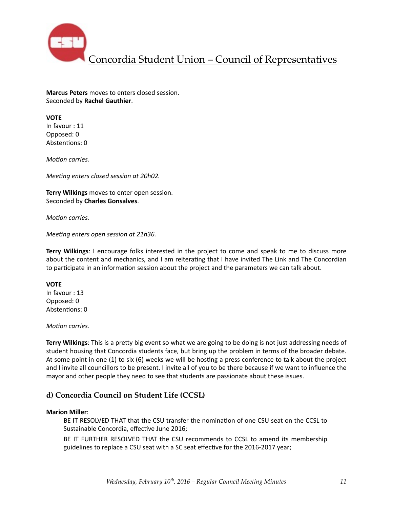

**Marcus Peters** moves to enters closed session. Seconded by **Rachel Gauthier**. 

### **VOTE**

In favour : 11 Opposed: 0 Abstentions: 0

*Motion carries.* 

*Meeting enters closed session at 20h02.* 

**Terry Wilkings** moves to enter open session. Seconded by **Charles Gonsalves**. 

*Motion carries.* 

*Meeting enters open session at 21h36.* 

**Terry Wilkings**: I encourage folks interested in the project to come and speak to me to discuss more about the content and mechanics, and I am reiterating that I have invited The Link and The Concordian to participate in an information session about the project and the parameters we can talk about.

#### **VOTE**

In favour : 13 Opposed: 0 Abstentions: 0

#### *Motion carries.*

**Terry Wilkings**: This is a pretty big event so what we are going to be doing is not just addressing needs of student housing that Concordia students face, but bring up the problem in terms of the broader debate. At some point in one (1) to six (6) weeks we will be hosting a press conference to talk about the project and I invite all councillors to be present. I invite all of you to be there because if we want to influence the mayor and other people they need to see that students are passionate about these issues.

## **d) Concordia Council on Student Life (CCSL)**

#### **Marion Miller**:

BE IT RESOLVED THAT that the CSU transfer the nomination of one CSU seat on the CCSL to Sustainable Concordia, effective June 2016:

BE IT FURTHER RESOLVED THAT the CSU recommends to CCSL to amend its membership guidelines to replace a CSU seat with a SC seat effective for the 2016-2017 year;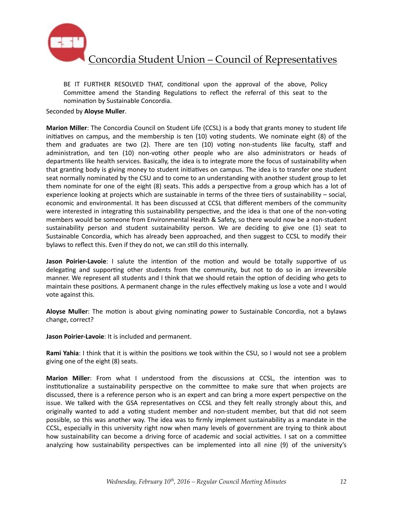

BE IT FURTHER RESOLVED THAT, conditional upon the approval of the above, Policy Committee amend the Standing Regulations to reflect the referral of this seat to the nomination by Sustainable Concordia.

Seconded by **Aloyse Muller**.

**Marion Miller**: The Concordia Council on Student Life (CCSL) is a body that grants money to student life initiatives on campus, and the membership is ten  $(10)$  voting students. We nominate eight  $(8)$  of the them and graduates are two (2). There are ten (10) voting non-students like faculty, staff and administration, and ten (10) non-voting other people who are also administrators or heads of departments like health services. Basically, the idea is to integrate more the focus of sustainability when that granting body is giving money to student initiatives on campus. The idea is to transfer one student seat normally nominated by the CSU and to come to an understanding with another student group to let them nominate for one of the eight (8) seats. This adds a perspective from a group which has a lot of experience looking at projects which are sustainable in terms of the three tiers of sustainability – social, economic and environmental. It has been discussed at CCSL that different members of the community were interested in integrating this sustainability perspective, and the idea is that one of the non-voting members would be someone from Environmental Health & Safety, so there would now be a non-student sustainability person and student sustainability person. We are deciding to give one (1) seat to Sustainable Concordia, which has already been approached, and then suggest to CCSL to modify their bylaws to reflect this. Even if they do not, we can still do this internally.

**Jason Poirier-Lavoie**: I salute the intention of the motion and would be totally supportive of us delegating and supporting other students from the community, but not to do so in an irreversible manner. We represent all students and I think that we should retain the option of deciding who gets to maintain these positions. A permanent change in the rules effectively making us lose a vote and I would vote against this.

**Aloyse Muller**: The motion is about giving nominating power to Sustainable Concordia, not a bylaws change, correct?

**Jason Poirier-Lavoie**: It is included and permanent.

**Rami Yahia**: I think that it is within the positions we took within the CSU, so I would not see a problem giving one of the eight (8) seats.

**Marion Miller**: From what I understood from the discussions at CCSL, the intention was to institutionalize a sustainability perspective on the committee to make sure that when projects are discussed, there is a reference person who is an expert and can bring a more expert perspective on the issue. We talked with the GSA representatives on CCSL and they felt really strongly about this, and originally wanted to add a voting student member and non-student member, but that did not seem possible, so this was another way. The idea was to firmly implement sustainability as a mandate in the CCSL, especially in this university right now when many levels of government are trying to think about how sustainability can become a driving force of academic and social activities. I sat on a committee analyzing how sustainability perspectives can be implemented into all nine (9) of the university's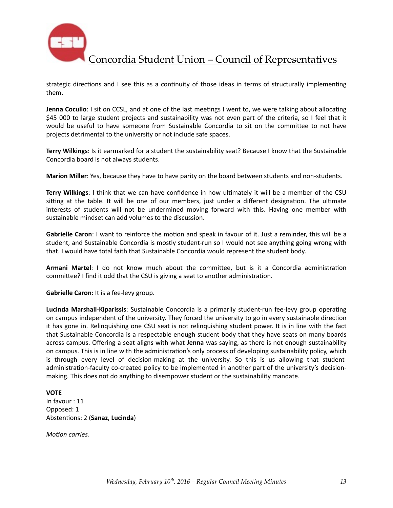

strategic directions and I see this as a continuity of those ideas in terms of structurally implementing them. 

**Jenna Cocullo**: I sit on CCSL, and at one of the last meetings I went to, we were talking about allocating \$45 000 to large student projects and sustainability was not even part of the criteria, so I feel that it would be useful to have someone from Sustainable Concordia to sit on the committee to not have projects detrimental to the university or not include safe spaces.

**Terry Wilkings**: Is it earmarked for a student the sustainability seat? Because I know that the Sustainable Concordia board is not always students.

**Marion Miller**: Yes, because they have to have parity on the board between students and non-students.

**Terry Wilkings**: I think that we can have confidence in how ultimately it will be a member of the CSU sitting at the table. It will be one of our members, just under a different designation. The ultimate interests of students will not be undermined moving forward with this. Having one member with sustainable mindset can add volumes to the discussion.

**Gabrielle Caron**: I want to reinforce the motion and speak in favour of it. Just a reminder, this will be a student, and Sustainable Concordia is mostly student-run so I would not see anything going wrong with that. I would have total faith that Sustainable Concordia would represent the student body.

**Armani Martel:** I do not know much about the committee, but is it a Concordia administration committee? I find it odd that the CSU is giving a seat to another administration.

**Gabrielle Caron**: It is a fee-levy group.

**Lucinda Marshall-Kiparissis**: Sustainable Concordia is a primarily student-run fee-levy group operating on campus independent of the university. They forced the university to go in every sustainable direction it has gone in. Relinquishing one CSU seat is not relinquishing student power. It is in line with the fact that Sustainable Concordia is a respectable enough student body that they have seats on many boards across campus. Offering a seat aligns with what **Jenna** was saying, as there is not enough sustainability on campus. This is in line with the administration's only process of developing sustainability policy, which is through every level of decision-making at the university. So this is us allowing that studentadministration-faculty co-created policy to be implemented in another part of the university's decisionmaking. This does not do anything to disempower student or the sustainability mandate.

#### **VOTE**

In favour : 11 Opposed: 1 Abstentions: 2 (Sanaz, Lucinda)

*Motion carries.*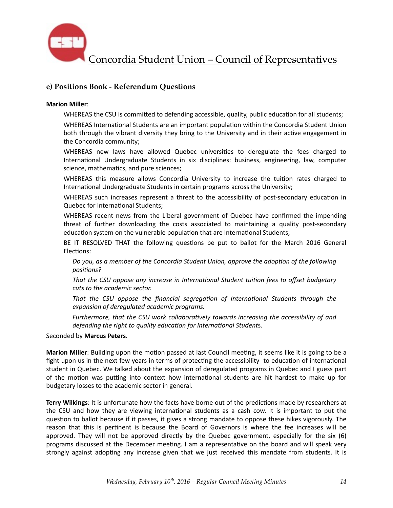

## **e) Positions Book - Referendum Questions**

#### **Marion Miller**:

WHEREAS the CSU is committed to defending accessible, quality, public education for all students;

WHEREAS International Students are an important population within the Concordia Student Union both through the vibrant diversity they bring to the University and in their active engagement in the Concordia community;

WHEREAS new laws have allowed Quebec universities to deregulate the fees charged to International Undergraduate Students in six disciplines: business, engineering, law, computer science, mathematics, and pure sciences;

WHEREAS this measure allows Concordia University to increase the tuition rates charged to International Undergraduate Students in certain programs across the University;

WHEREAS such increases represent a threat to the accessibility of post-secondary education in Quebec for International Students:

WHEREAS recent news from the Liberal government of Quebec have confirmed the impending threat of further downloading the costs associated to maintaining a quality post-secondary education system on the vulnerable population that are International Students;

BE IT RESOLVED THAT the following questions be put to ballot for the March 2016 General Elections:

Do you, as a member of the Concordia Student Union, approve the adoption of the following *positions?* 

That the CSU oppose any increase in International Student tuition fees to offset budgetary cuts to the academic sector.

That the CSU oppose the financial segregation of International Students through the expansion of deregulated academic programs.

Furthermore, that the CSU work collaboratively towards increasing the accessibility of and *defending the right to quality education for International Students.* 

Seconded by **Marcus Peters**. 

**Marion Miller**: Building upon the motion passed at last Council meeting, it seems like it is going to be a fight upon us in the next few years in terms of protecting the accessibility to education of international student in Quebec. We talked about the expansion of deregulated programs in Quebec and I guess part of the motion was putting into context how international students are hit hardest to make up for budgetary losses to the academic sector in general.

**Terry Wilkings**: It is unfortunate how the facts have borne out of the predictions made by researchers at the CSU and how they are viewing international students as a cash cow. It is important to put the question to ballot because if it passes, it gives a strong mandate to oppose these hikes vigorously. The reason that this is pertinent is because the Board of Governors is where the fee increases will be approved. They will not be approved directly by the Quebec government, especially for the six  $(6)$ programs discussed at the December meeting. I am a representative on the board and will speak very strongly against adopting any increase given that we just received this mandate from students. It is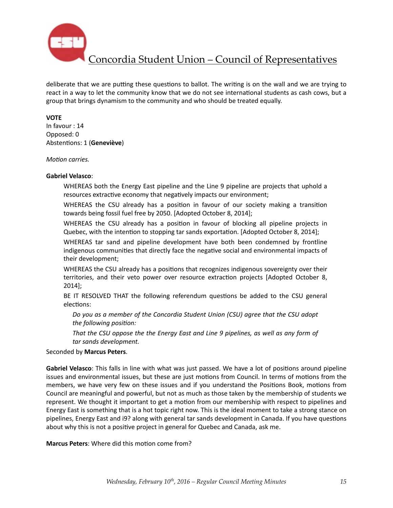

deliberate that we are putting these questions to ballot. The writing is on the wall and we are trying to react in a way to let the community know that we do not see international students as cash cows, but a group that brings dynamism to the community and who should be treated equally.

### **VOTE**

In favour : 14 Opposed: 0 Abstentions: 1 (Geneviève)

*Motion carries.* 

#### **Gabriel Velasco**:

WHEREAS both the Energy East pipeline and the Line 9 pipeline are projects that uphold a resources extractive economy that negatively impacts our environment;

WHEREAS the CSU already has a position in favour of our society making a transition towards being fossil fuel free by 2050. [Adopted October 8, 2014];

WHEREAS the CSU already has a position in favour of blocking all pipeline projects in Quebec, with the intention to stopping tar sands exportation. [Adopted October 8, 2014];

WHEREAS tar sand and pipeline development have both been condemned by frontline indigenous communities that directly face the negative social and environmental impacts of their development;

WHEREAS the CSU already has a positions that recognizes indigenous sovereignty over their territories, and their veto power over resource extraction projects [Adopted October 8, 2014];

BE IT RESOLVED THAT the following referendum questions be added to the CSU general elections:

Do you as a member of the Concordia Student Union (CSU) agree that the CSU adopt *the following position:* 

That the CSU oppose the the Energy East and Line 9 pipelines, as well as any form of *tar sands development.*

Seconded by **Marcus Peters**. 

**Gabriel Velasco**: This falls in line with what was just passed. We have a lot of positions around pipeline issues and environmental issues, but these are just motions from Council. In terms of motions from the members, we have very few on these issues and if you understand the Positions Book, motions from Council are meaningful and powerful, but not as much as those taken by the membership of students we represent. We thought it important to get a motion from our membership with respect to pipelines and Energy East is something that is a hot topic right now. This is the ideal moment to take a strong stance on pipelines, Energy East and i9? along with general tar sands development in Canada. If you have questions about why this is not a positive project in general for Quebec and Canada, ask me.

**Marcus Peters:** Where did this motion come from?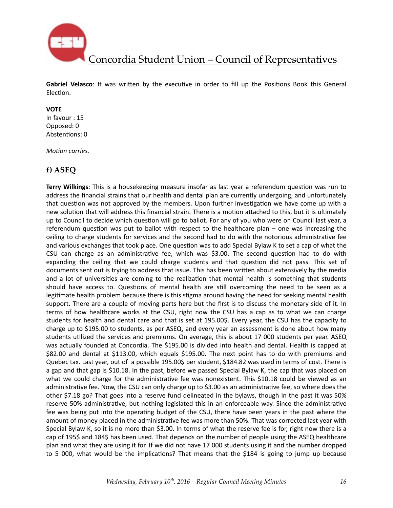

Gabriel Velasco: It was written by the executive in order to fill up the Positions Book this General Election.

#### **VOTE**

In favour : 15 Opposed: 0 Abstentions: 0

*Motion carries.* 

## **f) ASEQ**

**Terry Wilkings**: This is a housekeeping measure insofar as last year a referendum question was run to address the financial strains that our health and dental plan are currently undergoing, and unfortunately that question was not approved by the members. Upon further investigation we have come up with a new solution that will address this financial strain. There is a motion attached to this, but it is ultimately up to Council to decide which question will go to ballot. For any of you who were on Council last year, a referendum question was put to ballot with respect to the healthcare plan  $-$  one was increasing the ceiling to charge students for services and the second had to do with the notorious administrative fee and various exchanges that took place. One question was to add Special Bylaw K to set a cap of what the CSU can charge as an administrative fee, which was \$3.00. The second question had to do with expanding the ceiling that we could charge students and that question did not pass. This set of documents sent out is trying to address that issue. This has been written about extensively by the media and a lot of universities are coming to the realization that mental health is something that students should have access to. Questions of mental health are still overcoming the need to be seen as a legitimate health problem because there is this stigma around having the need for seeking mental health support. There are a couple of moving parts here but the first is to discuss the monetary side of it. In terms of how healthcare works at the CSU, right now the CSU has a cap as to what we can charge students for health and dental care and that is set at 195.00\$. Every year, the CSU has the capacity to charge up to \$195.00 to students, as per ASEQ, and every year an assessment is done about how many students utilized the services and premiums. On average, this is about 17 000 students per year. ASEQ was actually founded at Concordia. The \$195.00 is divided into health and dental. Health is capped at \$82.00 and dental at \$113.00, which equals \$195.00. The next point has to do with premiums and Quebec tax. Last year, out of a possible 195.00\$ per student, \$184.82 was used in terms of cost. There is a gap and that gap is \$10.18. In the past, before we passed Special Bylaw K, the cap that was placed on what we could charge for the administrative fee was nonexistent. This \$10.18 could be viewed as an administrative fee. Now, the CSU can only charge up to \$3.00 as an administrative fee, so where does the other \$7.18 go? That goes into a reserve fund delineated in the bylaws, though in the past it was 50% reserve 50% administrative, but nothing legislated this in an enforceable way. Since the administrative fee was being put into the operating budget of the CSU, there have been years in the past where the amount of money placed in the administrative fee was more than 50%. That was corrected last year with Special Bylaw K, so it is no more than \$3.00. In terms of what the reserve fee is for, right now there is a cap of 195\$ and 184\$ has been used. That depends on the number of people using the ASEQ healthcare plan and what they are using it for. If we did not have 17 000 students using it and the number dropped to 5 000, what would be the implications? That means that the \$184 is going to jump up because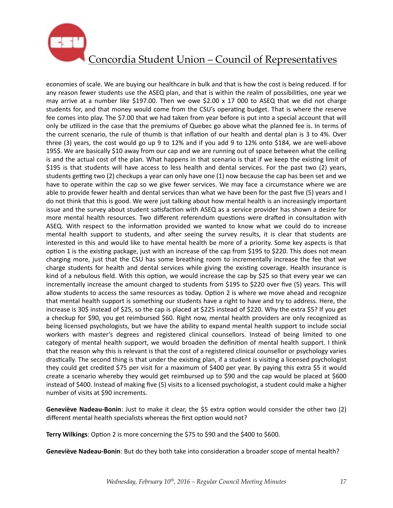

economies of scale. We are buying our healthcare in bulk and that is how the cost is being reduced. If for any reason fewer students use the ASEQ plan, and that is within the realm of possibilities, one year we may arrive at a number like \$197.00. Then we owe \$2.00 x 17 000 to ASEQ that we did not charge students for, and that money would come from the CSU's operating budget. That is where the reserve fee comes into play. The \$7.00 that we had taken from year before is put into a special account that will only be utilized in the case that the premiums of Quebec go above what the planned fee is. In terms of the current scenario, the rule of thumb is that inflation of our health and dental plan is 3 to 4%. Over three (3) years, the cost would go up 9 to 12% and if you add 9 to 12% onto \$184, we are well-above 195\$. We are basically \$10 away from our cap and we are running out of space between what the ceiling is and the actual cost of the plan. What happens in that scenario is that if we keep the existing limit of \$195 is that students will have access to less health and dental services. For the past two (2) years, students getting two (2) checkups a year can only have one (1) now because the cap has been set and we have to operate within the cap so we give fewer services. We may face a circumstance where we are able to provide fewer health and dental services than what we have been for the past five (5) years and I do not think that this is good. We were just talking about how mental health is an increasingly important issue and the survey about student satisfaction with ASEQ as a service provider has shown a desire for more mental health resources. Two different referendum questions were drafted in consultation with ASEQ. With respect to the information provided we wanted to know what we could do to increase mental health support to students, and after seeing the survey results, it is clear that students are interested in this and would like to have mental health be more of a priority. Some key aspects is that option 1 is the existing package, just with an increase of the cap from \$195 to \$220. This does not mean charging more, just that the CSU has some breathing room to incrementally increase the fee that we charge students for health and dental services while giving the existing coverage. Health insurance is kind of a nebulous field. With this option, we would increase the cap by \$25 so that every year we can incrementally increase the amount charged to students from \$195 to \$220 over five (5) years. This will allow students to access the same resources as today. Option 2 is where we move ahead and recognize that mental health support is something our students have a right to have and try to address. Here, the increase is 30\$ instead of \$25, so the cap is placed at \$225 instead of \$220. Why the extra \$5? If you get a checkup for \$90, you get reimbursed \$60. Right now, mental health providers are only recognized as being licensed psychologists, but we have the ability to expand mental health support to include social workers with master's degrees and registered clinical counsellors. Instead of being limited to one category of mental health support, we would broaden the definition of mental health support. I think that the reason why this is relevant is that the cost of a registered clinical counsellor or psychology varies drastically. The second thing is that under the existing plan, if a student is visiting a licensed psychologist they could get credited \$75 per visit for a maximum of \$400 per year. By paying this extra \$5 it would create a scenario whereby they would get reimbursed up to \$90 and the cap would be placed at \$600 instead of \$400. Instead of making five (5) visits to a licensed psychologist, a student could make a higher number of visits at \$90 increments.

**Geneviève Nadeau-Bonin**: Just to make it clear, the \$5 extra option would consider the other two (2) different mental health specialists whereas the first option would not?

**Terry Wilkings:** Option 2 is more concerning the \$75 to \$90 and the \$400 to \$600.

**Geneviève Nadeau-Bonin**: But do they both take into consideration a broader scope of mental health?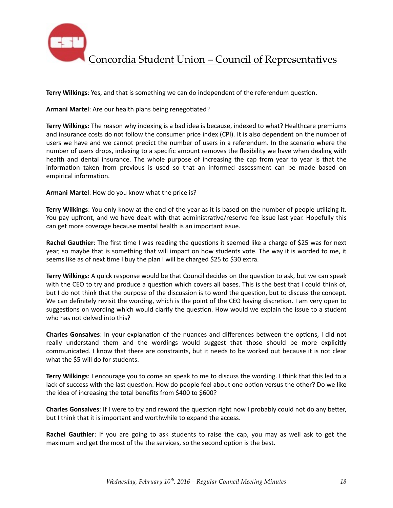

**Terry Wilkings:** Yes, and that is something we can do independent of the referendum question.

Armani Martel: Are our health plans being renegotiated?

**Terry Wilkings**: The reason why indexing is a bad idea is because, indexed to what? Healthcare premiums and insurance costs do not follow the consumer price index (CPI). It is also dependent on the number of users we have and we cannot predict the number of users in a referendum. In the scenario where the number of users drops, indexing to a specific amount removes the flexibility we have when dealing with health and dental insurance. The whole purpose of increasing the cap from year to year is that the information taken from previous is used so that an informed assessment can be made based on empirical information.

**Armani Martel:** How do you know what the price is?

**Terry Wilkings:** You only know at the end of the year as it is based on the number of people utilizing it. You pay upfront, and we have dealt with that administrative/reserve fee issue last year. Hopefully this can get more coverage because mental health is an important issue.

**Rachel Gauthier**: The first time I was reading the questions it seemed like a charge of \$25 was for next year, so maybe that is something that will impact on how students vote. The way it is worded to me, it seems like as of next time I buy the plan I will be charged \$25 to \$30 extra.

**Terry Wilkings:** A quick response would be that Council decides on the question to ask, but we can speak with the CEO to try and produce a question which covers all bases. This is the best that I could think of, but I do not think that the purpose of the discussion is to word the question, but to discuss the concept. We can definitely revisit the wording, which is the point of the CEO having discretion. I am very open to suggestions on wording which would clarify the question. How would we explain the issue to a student who has not delved into this?

**Charles Gonsalves**: In your explanation of the nuances and differences between the options, I did not really understand them and the wordings would suggest that those should be more explicitly communicated. I know that there are constraints, but it needs to be worked out because it is not clear what the \$5 will do for students.

**Terry Wilkings**: I encourage you to come an speak to me to discuss the wording. I think that this led to a lack of success with the last question. How do people feel about one option versus the other? Do we like the idea of increasing the total benefits from \$400 to \$600?

**Charles Gonsalves**: If I were to try and reword the question right now I probably could not do any better, but I think that it is important and worthwhile to expand the access.

**Rachel Gauthier**: If you are going to ask students to raise the cap, you may as well ask to get the maximum and get the most of the the services, so the second option is the best.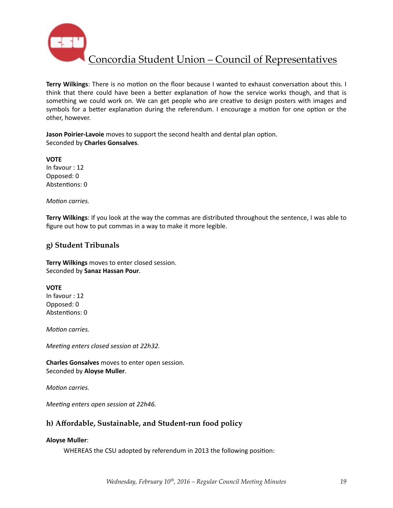

Terry Wilkings: There is no motion on the floor because I wanted to exhaust conversation about this. I think that there could have been a better explanation of how the service works though, and that is something we could work on. We can get people who are creative to design posters with images and symbols for a better explanation during the referendum. I encourage a motion for one option or the other, however.

**Jason Poirier-Lavoie** moves to support the second health and dental plan option. Seconded by **Charles Gonsalves**. 

**VOTE** In favour : 12 Opposed: 0 Abstentions: 0

*Motion carries.* 

**Terry Wilkings**: If you look at the way the commas are distributed throughout the sentence, I was able to figure out how to put commas in a way to make it more legible.

### **g) Student Tribunals**

**Terry Wilkings** moves to enter closed session. Seconded by **Sanaz Hassan Pour**. 

**VOTE**  In favour : 12 Opposed: 0 Abstentions: 0

*Motion carries.* 

*Meeting enters closed session at 22h32.* 

**Charles Gonsalves** moves to enter open session. Seconded by **Aloyse Muller**.

*Motion carries.* 

*Meeting enters open session at 22h46.* 

## **h) Affordable, Sustainable, and Student-run food policy**

#### **Aloyse Muller**:

WHEREAS the CSU adopted by referendum in 2013 the following position: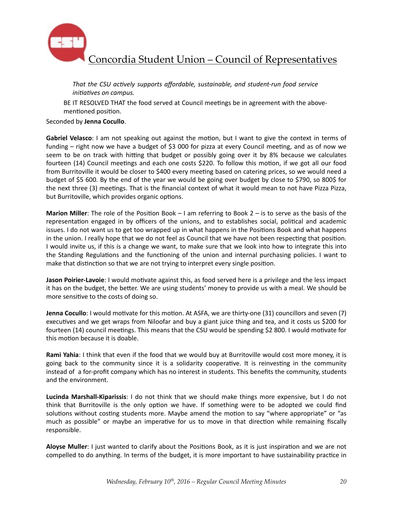

That the CSU actively supports affordable, sustainable, and student-run food service *initiatives* on campus.

BE IT RESOLVED THAT the food served at Council meetings be in agreement with the abovementioned position.

#### Seconded by **Jenna Cocullo**.

**Gabriel Velasco**: I am not speaking out against the motion, but I want to give the context in terms of funding – right now we have a budget of \$3 000 for pizza at every Council meeting, and as of now we seem to be on track with hitting that budget or possibly going over it by 8% because we calculates fourteen (14) Council meetings and each one costs \$220. To follow this motion, if we got all our food from Burritoville it would be closer to \$400 every meeting based on catering prices, so we would need a budget of \$5 600. By the end of the year we would be going over budget by close to \$790, so 800\$ for the next three (3) meetings. That is the financial context of what it would mean to not have Pizza Pizza, but Burritoville, which provides organic options.

**Marion Miller**: The role of the Position Book – I am referring to Book  $2 -$  is to serve as the basis of the representation engaged in by officers of the unions, and to establishes social, political and academic issues. I do not want us to get too wrapped up in what happens in the Positions Book and what happens in the union. I really hope that we do not feel as Council that we have not been respecting that position. I would invite us, if this is a change we want, to make sure that we look into how to integrate this into the Standing Regulations and the functioning of the union and internal purchasing policies. I want to make that distinction so that we are not trying to interpret every single position.

**Jason Poirier-Lavoie**: I would motivate against this, as food served here is a privilege and the less impact it has on the budget, the better. We are using students' money to provide us with a meal. We should be more sensitive to the costs of doing so.

**Jenna Cocullo**: I would motivate for this motion. At ASFA, we are thirty-one (31) councillors and seven (7) executives and we get wraps from Niloofar and buy a giant juice thing and tea, and it costs us \$200 for fourteen (14) council meetings. This means that the CSU would be spending \$2 800. I would motivate for this motion because it is doable.

**Rami Yahia**: I think that even if the food that we would buy at Burritoville would cost more money, it is going back to the community since it is a solidarity cooperative. It is reinvesting in the community instead of a for-profit company which has no interest in students. This benefits the community, students and the environment.

**Lucinda Marshall-Kiparissis**: I do not think that we should make things more expensive, but I do not think that Burritoville is the only option we have. If something were to be adopted we could find solutions without costing students more. Maybe amend the motion to say "where appropriate" or "as much as possible" or maybe an imperative for us to move in that direction while remaining fiscally responsible. 

**Aloyse Muller**: I just wanted to clarify about the Positions Book, as it is just inspiration and we are not compelled to do anything. In terms of the budget, it is more important to have sustainability practice in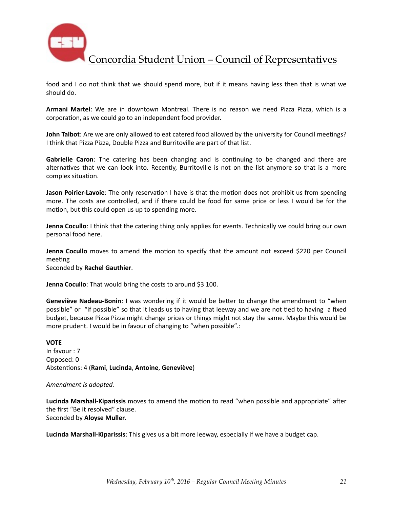

food and I do not think that we should spend more, but if it means having less then that is what we should do.

Armani Martel: We are in downtown Montreal. There is no reason we need Pizza Pizza, which is a corporation, as we could go to an independent food provider.

**John Talbot**: Are we are only allowed to eat catered food allowed by the university for Council meetings? I think that Pizza Pizza, Double Pizza and Burritoville are part of that list.

**Gabrielle Caron**: The catering has been changing and is continuing to be changed and there are alternatives that we can look into. Recently, Burritoville is not on the list anymore so that is a more complex situation.

**Jason Poirier-Lavoie**: The only reservation I have is that the motion does not prohibit us from spending more. The costs are controlled, and if there could be food for same price or less I would be for the motion, but this could open us up to spending more.

**Jenna Cocullo**: I think that the catering thing only applies for events. Technically we could bring our own personal food here.

**Jenna Cocullo** moves to amend the motion to specify that the amount not exceed \$220 per Council meeting

Seconded by **Rachel Gauthier**. 

**Jenna Cocullo**: That would bring the costs to around \$3 100.

**Geneviève Nadeau-Bonin**: I was wondering if it would be better to change the amendment to "when possible" or "if possible" so that it leads us to having that leeway and we are not tied to having a fixed budget, because Pizza Pizza might change prices or things might not stay the same. Maybe this would be more prudent. I would be in favour of changing to "when possible".:

#### **VOTE**

In favour : 7 Opposed: 0 Absten%ons: 4 (**Rami**, **Lucinda**, **Antoine**, **Geneviève**)

#### Amendment is adopted.

Lucinda Marshall-Kiparissis moves to amend the motion to read "when possible and appropriate" after the first "Be it resolved" clause. Seconded by **Aloyse Muller**.

**Lucinda Marshall-Kiparissis**: This gives us a bit more leeway, especially if we have a budget cap.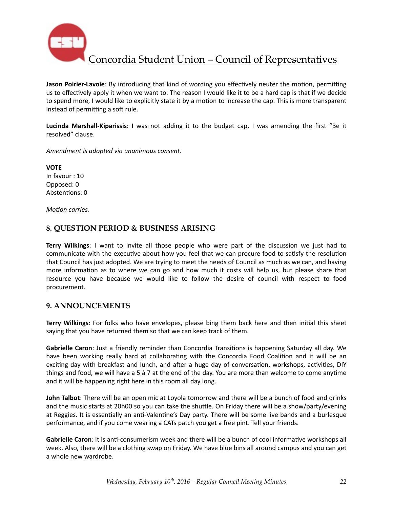

**Jason Poirier-Lavoie**: By introducing that kind of wording you effectively neuter the motion, permitting us to effectively apply it when we want to. The reason I would like it to be a hard cap is that if we decide to spend more, I would like to explicitly state it by a motion to increase the cap. This is more transparent instead of permitting a soft rule.

**Lucinda Marshall-Kiparissis**: I was not adding it to the budget cap, I was amending the first "Be it resolved" clause.

*Amendment is adopted via unanimous consent.* 

**VOTE** In favour : 10 Opposed: 0 Abstentions: 0

*Motion carries.* 

### **8. QUESTION PERIOD & BUSINESS ARISING**

**Terry Wilkings:** I want to invite all those people who were part of the discussion we just had to communicate with the executive about how you feel that we can procure food to satisfy the resolution that Council has just adopted. We are trying to meet the needs of Council as much as we can, and having more information as to where we can go and how much it costs will help us, but please share that resource you have because we would like to follow the desire of council with respect to food procurement. 

### **9. ANNOUNCEMENTS**

**Terry Wilkings**: For folks who have envelopes, please bing them back here and then initial this sheet saying that you have returned them so that we can keep track of them.

**Gabrielle Caron**: Just a friendly reminder than Concordia Transitions is happening Saturday all day. We have been working really hard at collaborating with the Concordia Food Coalition and it will be an exciting day with breakfast and lunch, and after a huge day of conversation, workshops, activities, DIY things and food, we will have a 5 à 7 at the end of the day. You are more than welcome to come anytime and it will be happening right here in this room all day long.

**John Talbot**: There will be an open mic at Loyola tomorrow and there will be a bunch of food and drinks and the music starts at 20h00 so you can take the shuttle. On Friday there will be a show/party/evening at Reggies. It is essentially an anti-Valentine's Day party. There will be some live bands and a burlesque performance, and if you come wearing a CATs patch you get a free pint. Tell your friends.

**Gabrielle Caron**: It is anti-consumerism week and there will be a bunch of cool informative workshops all week. Also, there will be a clothing swap on Friday. We have blue bins all around campus and you can get a whole new wardrobe.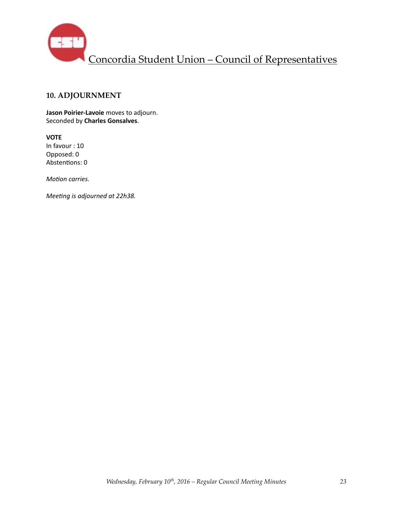

## **10. ADJOURNMENT**

**Jason Poirier-Lavoie** moves to adjourn. Seconded by **Charles Gonsalves**. 

**VOTE** In favour : 10 Opposed: 0 Abstentions: 0

*Motion carries.* 

*Meeting is adjourned at 22h38.*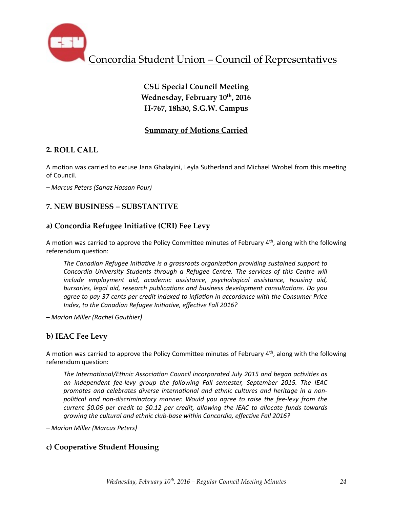

# **CSU Special Council Meeting Wednesday, February 10th, 2016 H-767, 18h30, S.G.W. Campus**

# **Summary of Motions Carried**

# **2. ROLL CALL**

A motion was carried to excuse Jana Ghalayini, Leyla Sutherland and Michael Wrobel from this meeting of Council.

*– Marcus Peters (Sanaz Hassan Pour)*

# **7. NEW BUSINESS – SUBSTANTIVE**

# **a) Concordia Refugee Initiative (CRI) Fee Levy**

A motion was carried to approve the Policy Committee minutes of February  $4<sup>th</sup>$ , along with the following referendum question:

The Canadian Refugee Initiative is a grassroots organization providing sustained support to *Concordia University Students through a Refugee Centre. The services of this Centre will include* employment aid, academic assistance, psychological assistance, housing aid, *bursaries, legal aid, research publications and business development consultations. Do you agree to pay 37 cents per credit indexed to inflation in accordance with the Consumer Price Index, to the Canadian Refugee Initiative, effective Fall 2016?* 

*– Marion Miller (Rachel Gauthier)* 

# **b) IEAC Fee Levy**

A motion was carried to approve the Policy Committee minutes of February  $4<sup>th</sup>$ , along with the following referendum question:

The International/Ethnic Association Council incorporated July 2015 and began activities as an independent fee-levy group the following Fall semester, September 2015. The IEAC promotes and celebrates diverse international and ethnic cultures and heritage in a nonpolitical and non-discriminatory manner. Would you agree to raise the fee-levy from the *current* \$0.06 per credit to \$0.12 per credit, allowing the IEAC to allocate funds towards growing the cultural and ethnic club-base within Concordia, effective Fall 2016?

*– Marion Miller (Marcus Peters)* 

# **c) Cooperative Student Housing**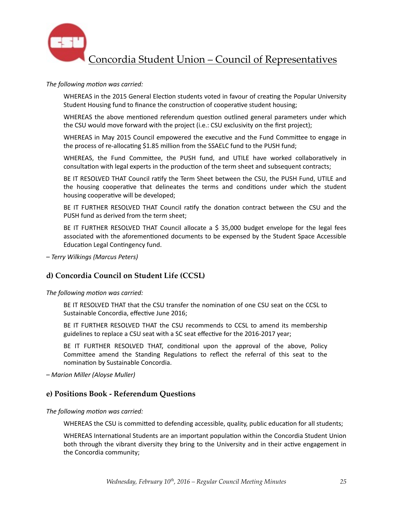

#### The following motion was carried:

WHEREAS in the 2015 General Election students voted in favour of creating the Popular University Student Housing fund to finance the construction of cooperative student housing;

WHEREAS the above mentioned referendum question outlined general parameters under which the CSU would move forward with the project (i.e.: CSU exclusivity on the first project);

WHEREAS in May 2015 Council empowered the executive and the Fund Committee to engage in the process of re-allocating \$1.85 million from the SSAELC fund to the PUSH fund;

WHEREAS, the Fund Committee, the PUSH fund, and UTILE have worked collaboratively in consultation with legal experts in the production of the term sheet and subsequent contracts;

BE IT RESOLVED THAT Council ratify the Term Sheet between the CSU, the PUSH Fund, UTILE and the housing cooperative that delineates the terms and conditions under which the student housing cooperative will be developed;

BE IT FURTHER RESOLVED THAT Council ratify the donation contract between the CSU and the PUSH fund as derived from the term sheet;

BE IT FURTHER RESOLVED THAT Council allocate a  $\frac{1}{2}$  35,000 budget envelope for the legal fees associated with the aforementioned documents to be expensed by the Student Space Accessible Education Legal Contingency fund.

*– Terry Wilkings (Marcus Peters)* 

### **d) Concordia Council on Student Life (CCSL)**

The following motion was carried:

BE IT RESOLVED THAT that the CSU transfer the nomination of one CSU seat on the CCSL to Sustainable Concordia, effective June 2016;

BE IT FURTHER RESOLVED THAT the CSU recommends to CCSL to amend its membership guidelines to replace a CSU seat with a SC seat effective for the 2016-2017 year;

BE IT FURTHER RESOLVED THAT, conditional upon the approval of the above, Policy Committee amend the Standing Regulations to reflect the referral of this seat to the nomination by Sustainable Concordia.

*– Marion Miller (Aloyse Muller)* 

### **e) Positions Book - Referendum Questions**

The following motion was carried:

WHEREAS the CSU is committed to defending accessible, quality, public education for all students;

WHEREAS International Students are an important population within the Concordia Student Union both through the vibrant diversity they bring to the University and in their active engagement in the Concordia community;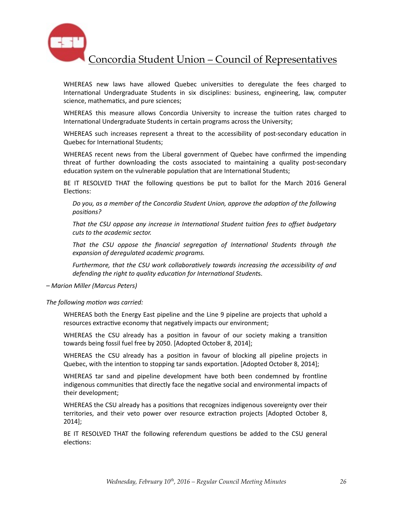

WHEREAS new laws have allowed Quebec universities to deregulate the fees charged to International Undergraduate Students in six disciplines: business, engineering, law, computer science, mathematics, and pure sciences;

WHEREAS this measure allows Concordia University to increase the tuition rates charged to International Undergraduate Students in certain programs across the University;

WHEREAS such increases represent a threat to the accessibility of post-secondary education in Quebec for International Students:

WHEREAS recent news from the Liberal government of Quebec have confirmed the impending threat of further downloading the costs associated to maintaining a quality post-secondary education system on the vulnerable population that are International Students;

BE IT RESOLVED THAT the following questions be put to ballot for the March 2016 General Elections:

Do you, as a member of the Concordia Student Union, approve the adoption of the following positions?

That the CSU oppose any increase in International Student tuition fees to offset budgetary cuts to the academic sector.

That the CSU oppose the financial segregation of International Students through the expansion of deregulated academic programs.

*Furthermore, that the CSU work collaboratively towards increasing the accessibility of and defending the right to quality education for International Students.* 

*– Marion Miller (Marcus Peters)* 

The following motion was carried:

WHEREAS both the Energy East pipeline and the Line 9 pipeline are projects that uphold a resources extractive economy that negatively impacts our environment;

WHEREAS the CSU already has a position in favour of our society making a transition towards being fossil fuel free by 2050. [Adopted October 8, 2014];

WHEREAS the CSU already has a position in favour of blocking all pipeline projects in Quebec, with the intention to stopping tar sands exportation. [Adopted October 8, 2014];

WHEREAS tar sand and pipeline development have both been condemned by frontline indigenous communities that directly face the negative social and environmental impacts of their development;

WHEREAS the CSU already has a positions that recognizes indigenous sovereignty over their territories, and their veto power over resource extraction projects [Adopted October 8, 2014];

BE IT RESOLVED THAT the following referendum questions be added to the CSU general elections: